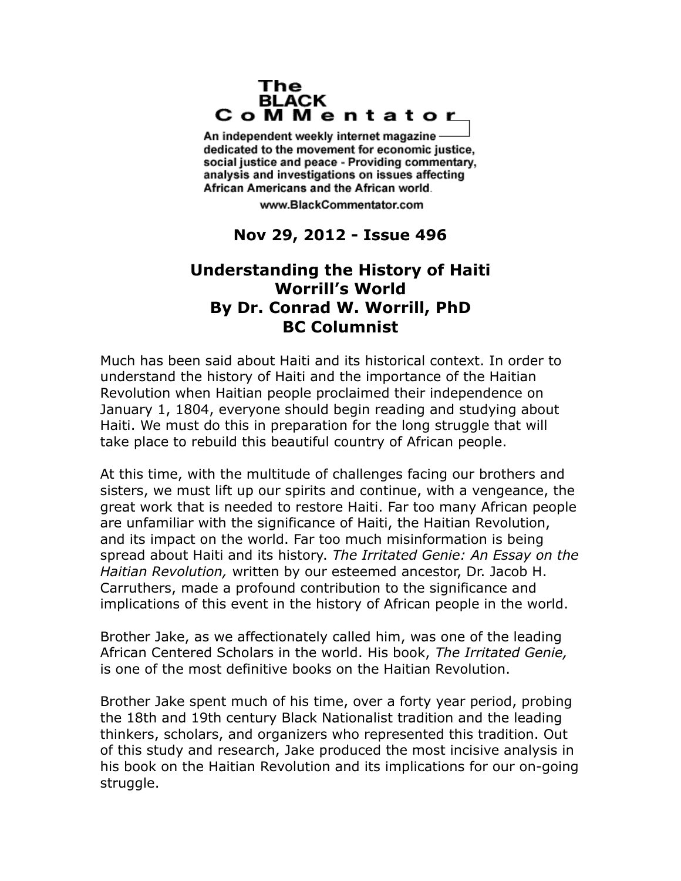## The **BLACK** CoMMentator

An independent weekly internet magazine dedicated to the movement for economic justice. social justice and peace - Providing commentary, analysis and investigations on issues affecting African Americans and the African world.

www.BlackCommentator.com

## **Nov 29, 2012 - Issue 496**

## **Understanding the History of Haiti Worrill's World By Dr. Conrad W. Worrill, PhD BC Columnist**

Much has been said about Haiti and its historical context. In order to understand the history of Haiti and the importance of the Haitian Revolution when Haitian people proclaimed their independence on January 1, 1804, everyone should begin reading and studying about Haiti. We must do this in preparation for the long struggle that will take place to rebuild this beautiful country of African people.

At this time, with the multitude of challenges facing our brothers and sisters, we must lift up our spirits and continue, with a vengeance, the great work that is needed to restore Haiti. Far too many African people are unfamiliar with the significance of Haiti, the Haitian Revolution, and its impact on the world. Far too much misinformation is being spread about Haiti and its history. *The Irritated Genie: An Essay on the Haitian Revolution,* written by our esteemed ancestor, Dr. Jacob H. Carruthers, made a profound contribution to the significance and implications of this event in the history of African people in the world.

Brother Jake, as we affectionately called him, was one of the leading African Centered Scholars in the world. His book, *The Irritated Genie,*  is one of the most definitive books on the Haitian Revolution.

Brother Jake spent much of his time, over a forty year period, probing the 18th and 19th century Black Nationalist tradition and the leading thinkers, scholars, and organizers who represented this tradition. Out of this study and research, Jake produced the most incisive analysis in his book on the Haitian Revolution and its implications for our on-going struggle.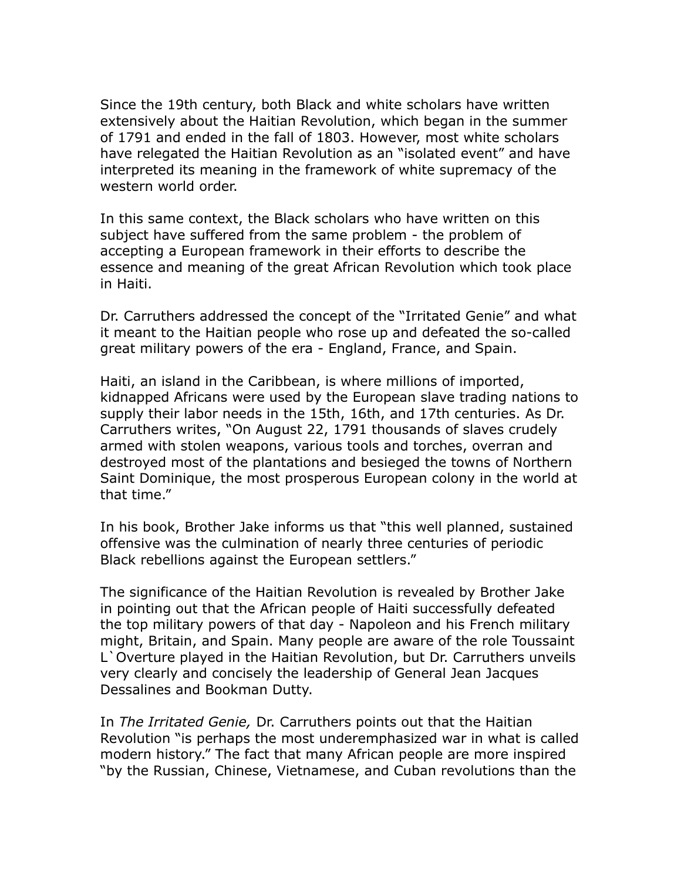Since the 19th century, both Black and white scholars have written extensively about the Haitian Revolution, which began in the summer of 1791 and ended in the fall of 1803. However, most white scholars have relegated the Haitian Revolution as an "isolated event" and have interpreted its meaning in the framework of white supremacy of the western world order.

In this same context, the Black scholars who have written on this subject have suffered from the same problem - the problem of accepting a European framework in their efforts to describe the essence and meaning of the great African Revolution which took place in Haiti.

Dr. Carruthers addressed the concept of the "Irritated Genie" and what it meant to the Haitian people who rose up and defeated the so-called great military powers of the era - England, France, and Spain.

Haiti, an island in the Caribbean, is where millions of imported, kidnapped Africans were used by the European slave trading nations to supply their labor needs in the 15th, 16th, and 17th centuries. As Dr. Carruthers writes, "On August 22, 1791 thousands of slaves crudely armed with stolen weapons, various tools and torches, overran and destroyed most of the plantations and besieged the towns of Northern Saint Dominique, the most prosperous European colony in the world at that time."

In his book, Brother Jake informs us that "this well planned, sustained offensive was the culmination of nearly three centuries of periodic Black rebellions against the European settlers."

The significance of the Haitian Revolution is revealed by Brother Jake in pointing out that the African people of Haiti successfully defeated the top military powers of that day - Napoleon and his French military might, Britain, and Spain. Many people are aware of the role Toussaint L`Overture played in the Haitian Revolution, but Dr. Carruthers unveils very clearly and concisely the leadership of General Jean Jacques Dessalines and Bookman Dutty.

In *The Irritated Genie,* Dr. Carruthers points out that the Haitian Revolution "is perhaps the most underemphasized war in what is called modern history." The fact that many African people are more inspired "by the Russian, Chinese, Vietnamese, and Cuban revolutions than the